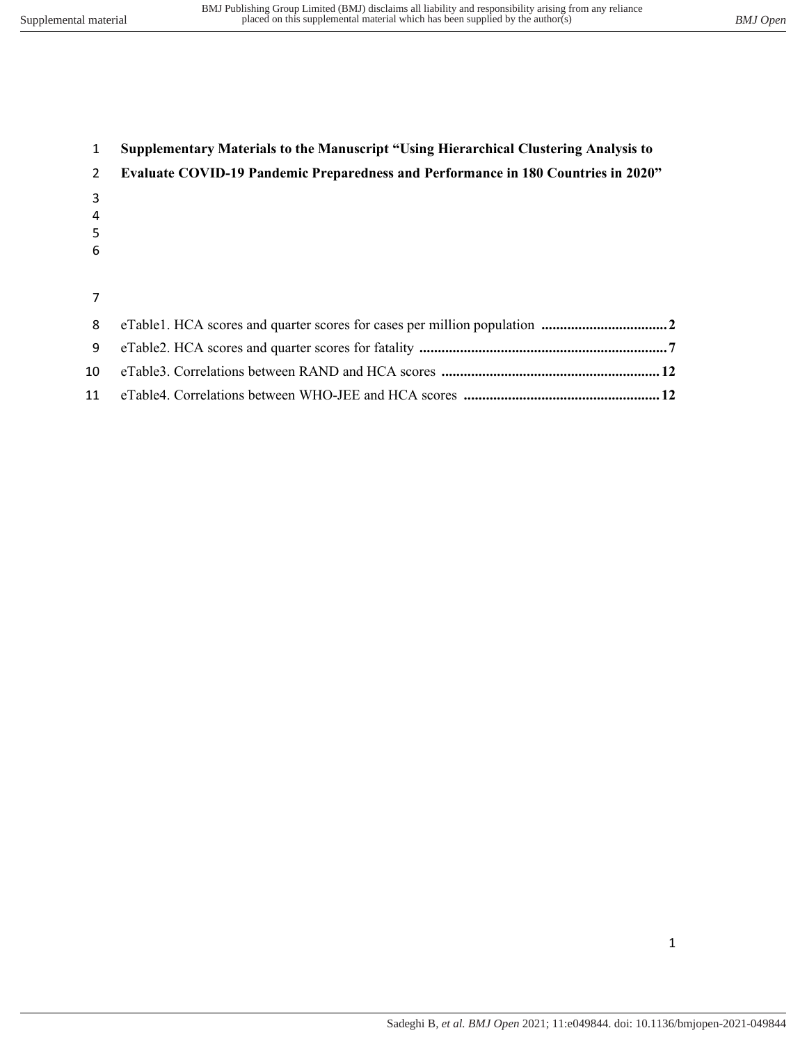| $\mathbf{1}$  | <b>Supplementary Materials to the Manuscript "Using Hierarchical Clustering Analysis to</b> |
|---------------|---------------------------------------------------------------------------------------------|
| $\mathcal{P}$ | <b>Evaluate COVID-19 Pandemic Preparedness and Performance in 180 Countries in 2020"</b>    |
| 3             |                                                                                             |
| 4             |                                                                                             |
| 5             |                                                                                             |
| 6             |                                                                                             |
|               |                                                                                             |
|               |                                                                                             |
| 8             |                                                                                             |
| 9             |                                                                                             |

 eTable3. Correlations between RAND and HCA scores **........................................................... 12**  eTable4. Correlations between WHO-JEE and HCA scores **..................................................... 12**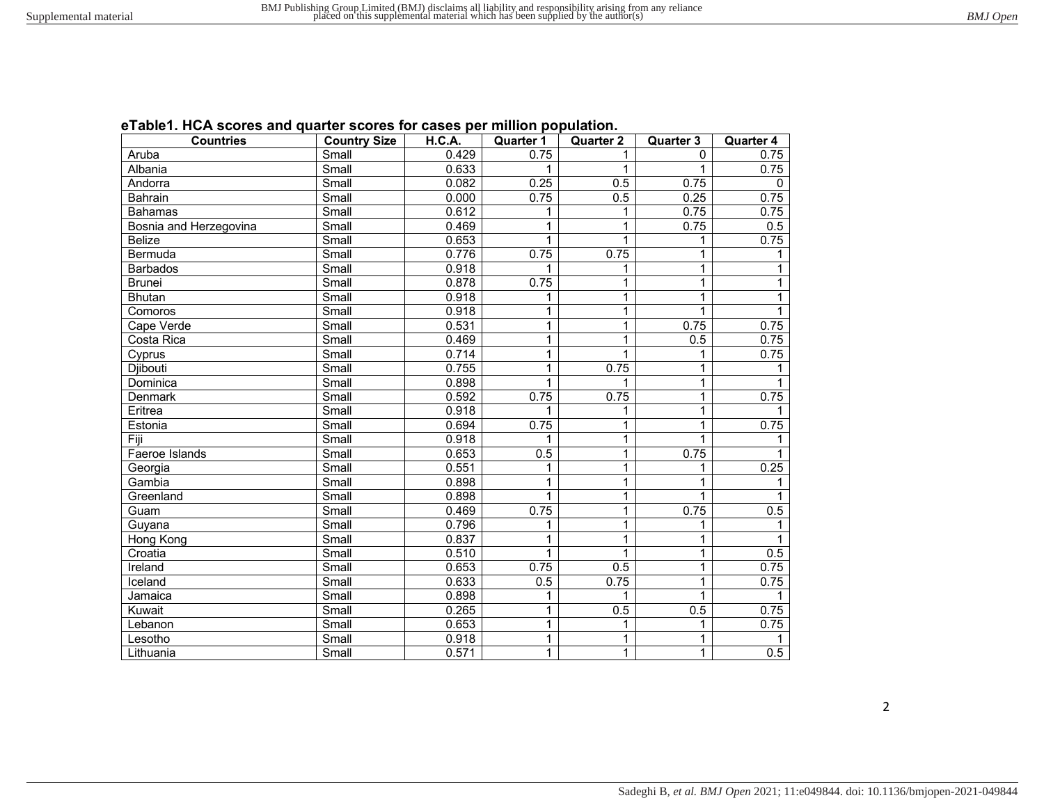| eTable1. HCA scores and quarter scores for cases per million population. |  |  |
|--------------------------------------------------------------------------|--|--|
|--------------------------------------------------------------------------|--|--|

| <b>Countries</b>       | <b>Country Size</b> | H.C.A. | <b>Quarter 1</b> | <b>Quarter 2</b> | Quarter 3      | <b>Quarter 4</b> |
|------------------------|---------------------|--------|------------------|------------------|----------------|------------------|
| Aruba                  | Small               | 0.429  | 0.75             |                  | $\Omega$       | 0.75             |
| Albania                | Small               | 0.633  | 1                | 1                |                | 0.75             |
| Andorra                | Small               | 0.082  | 0.25             | 0.5              | 0.75           | $\Omega$         |
| Bahrain                | Small               | 0.000  | 0.75             | 0.5              | 0.25           | 0.75             |
| <b>Bahamas</b>         | Small               | 0.612  | 1                | 1                | 0.75           | 0.75             |
| Bosnia and Herzegovina | Small               | 0.469  | 1                | 1                | 0.75           | 0.5              |
| <b>Belize</b>          | Small               | 0.653  | 1                | 1                | 1              | 0.75             |
| Bermuda                | Small               | 0.776  | 0.75             | 0.75             | 1              | 1                |
| <b>Barbados</b>        | Small               | 0.918  | 1                | 1                | $\overline{1}$ | 1                |
| <b>Brunei</b>          | Small               | 0.878  | 0.75             | 1                | $\mathbf{1}$   | 1                |
| <b>Bhutan</b>          | Small               | 0.918  | 1                | 1                | 1              | 1                |
| Comoros                | Small               | 0.918  | 1                | 1                | $\mathbf{1}$   | 1                |
| Cape Verde             | Small               | 0.531  | 1                | 1                | 0.75           | 0.75             |
| Costa Rica             | Small               | 0.469  | 1                | 1                | 0.5            | 0.75             |
| Cyprus                 | Small               | 0.714  | 1                | 1                | 1              | 0.75             |
| Djibouti               | Small               | 0.755  | 1                | 0.75             | 1              | 1                |
| Dominica               | Small               | 0.898  | 1                | 1                | 1              | 1                |
| Denmark                | Small               | 0.592  | 0.75             | 0.75             | 1              | 0.75             |
| Eritrea                | Small               | 0.918  | 1                | 1                | 1              |                  |
| Estonia                | Small               | 0.694  | 0.75             | 1                | 1              | 0.75             |
| Fiji                   | Small               | 0.918  | 1                | 1                | 1              | 1                |
| Faeroe Islands         | Small               | 0.653  | 0.5              | 1                | 0.75           | 1                |
| Georgia                | Small               | 0.551  | 1                | 1                | 1              | 0.25             |
| Gambia                 | Small               | 0.898  | $\mathbf{1}$     | 1                | $\mathbf{1}$   | 1                |
| Greenland              | Small               | 0.898  | 1                | 1                | 1              |                  |
| Guam                   | Small               | 0.469  | 0.75             | $\mathbf{1}$     | 0.75           | 0.5              |
| Guyana                 | Small               | 0.796  | 1                | 1                | 1              | 1                |
| Hong Kong              | Small               | 0.837  | 1                | 1                | 1              | 1                |
| Croatia                | Small               | 0.510  | $\mathbf{1}$     | 1                | 1              | 0.5              |
| Ireland                | Small               | 0.653  | 0.75             | 0.5              | 1              | 0.75             |
| Iceland                | Small               | 0.633  | 0.5              | 0.75             | 1              | 0.75             |
| Jamaica                | Small               | 0.898  | 1                | 1                | 1              |                  |
| Kuwait                 | Small               | 0.265  | 1                | 0.5              | 0.5            | 0.75             |
| Lebanon                | Small               | 0.653  | $\mathbf{1}$     | 1                | 1              | 0.75             |
| Lesotho                | Small               | 0.918  | 1                | 1                | 1              | 1                |
| Lithuania              | Small               | 0.571  | 1                | 1                | 1              | 0.5              |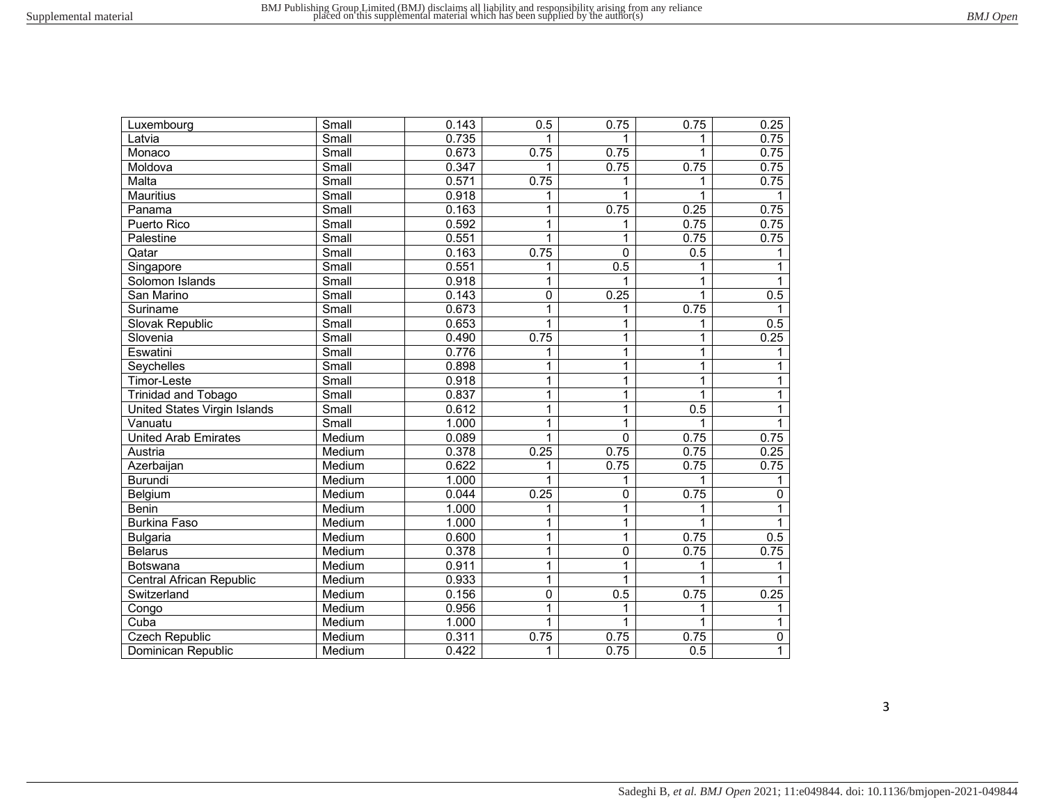| BMJ Open |
|----------|
|          |

| Luxembourg                   | Small                     | 0.143 | 0.5          | 0.75           | 0.75 | 0.25             |
|------------------------------|---------------------------|-------|--------------|----------------|------|------------------|
| Latvia                       | Small                     | 0.735 |              | 1              | 1    | 0.75             |
| Monaco                       | Small                     | 0.673 | 0.75         | 0.75           | 1    | 0.75             |
| Moldova                      | Small                     | 0.347 |              | 0.75           | 0.75 | 0.75             |
| Malta                        | Small                     | 0.571 | 0.75         | 1              |      | 0.75             |
| <b>Mauritius</b>             | Small                     | 0.918 | 1            | 1              |      |                  |
| Panama                       | $\overline{\text{Small}}$ | 0.163 | 1            | 0.75           | 0.25 | 0.75             |
| Puerto Rico                  | Small                     | 0.592 | 1            | 1              | 0.75 | 0.75             |
| Palestine                    | Small                     | 0.551 | 1            | $\mathbf{1}$   | 0.75 | 0.75             |
| Qatar                        | Small                     | 0.163 | 0.75         | $\mathbf 0$    | 0.5  |                  |
| Singapore                    | Small                     | 0.551 | 1            | 0.5            |      |                  |
| Solomon Islands              | Small                     | 0.918 | 1            | 1              | 1    | 1                |
| San Marino                   | Small                     | 0.143 | 0            | 0.25           | 1    | 0.5              |
| Suriname                     | Small                     | 0.673 | 1            | 1              | 0.75 | 1                |
| Slovak Republic              | Small                     | 0.653 | 1            | 1              | 1    | $\overline{0.5}$ |
| Slovenia                     | Small                     | 0.490 | 0.75         | 1              | 1    | 0.25             |
| Eswatini                     | Small                     | 0.776 | 1            | 1              | 1    | 1                |
| Seychelles                   | Small                     | 0.898 | 1            | 1              | 1    | 1                |
| Timor-Leste                  | Small                     | 0.918 | 1            | 1              | 1    | $\mathbf{1}$     |
| <b>Trinidad and Tobago</b>   | Small                     | 0.837 | 1            | 1              | 1    | $\mathbf{1}$     |
| United States Virgin Islands | Small                     | 0.612 | $\mathbf{1}$ | 1              | 0.5  | $\mathbf{1}$     |
| Vanuatu                      | Small                     | 1.000 | 1            | 1              | 1    | 1                |
| <b>United Arab Emirates</b>  | Medium                    | 0.089 | 1            | $\mathbf 0$    | 0.75 | 0.75             |
| Austria                      | Medium                    | 0.378 | 0.25         | 0.75           | 0.75 | 0.25             |
| Azerbaijan                   | Medium                    | 0.622 | 1            | 0.75           | 0.75 | 0.75             |
| <b>Burundi</b>               | Medium                    | 1.000 | 1            | 1              | 1    | 1                |
| Belgium                      | Medium                    | 0.044 | 0.25         | $\overline{0}$ | 0.75 | 0                |
| <b>Benin</b>                 | Medium                    | 1.000 | 1            | 1              |      |                  |
| <b>Burkina Faso</b>          | Medium                    | 1.000 | 1            | 1              |      | 1                |
| <b>Bulgaria</b>              | Medium                    | 0.600 | 1            | $\overline{1}$ | 0.75 | 0.5              |
| <b>Belarus</b>               | Medium                    | 0.378 | 1            | $\overline{0}$ | 0.75 | 0.75             |
| Botswana                     | Medium                    | 0.911 | 1            | 1              | 1    | 1                |
| Central African Republic     | Medium                    | 0.933 | 1            | 1              |      |                  |
| Switzerland                  | Medium                    | 0.156 | $\mathbf 0$  | 0.5            | 0.75 | 0.25             |
| Congo                        | Medium                    | 0.956 | 1            | 1              |      | 1                |
| Cuba                         | Medium                    | 1.000 | 1            | $\mathbf{1}$   | 1    | 1                |
| <b>Czech Republic</b>        | Medium                    | 0.311 | 0.75         | 0.75           | 0.75 | 0                |
| Dominican Republic           | Medium                    | 0.422 | 1            | 0.75           | 0.5  | $\mathbf{1}$     |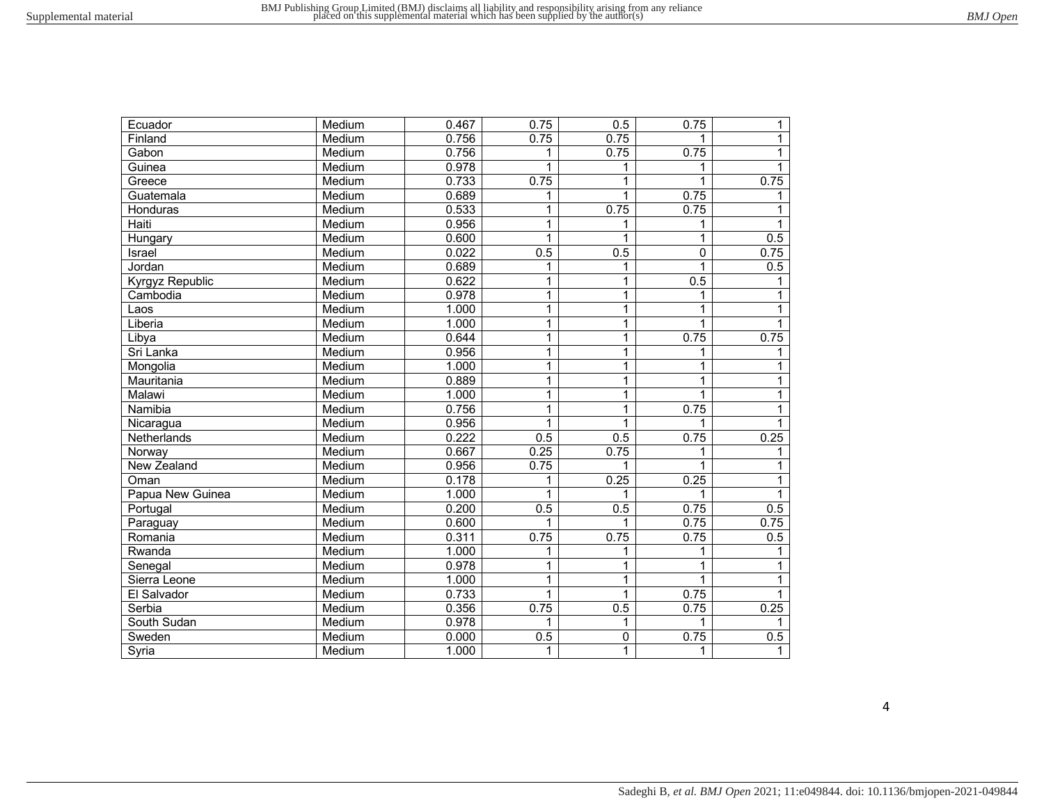| Ecuador          | Medium | 0.467 | 0.75 | 0.5            | 0.75        | 1            |
|------------------|--------|-------|------|----------------|-------------|--------------|
| Finland          | Medium | 0.756 | 0.75 | 0.75           |             | 1            |
| Gabon            | Medium | 0.756 | 1    | 0.75           | 0.75        |              |
| Guinea           | Medium | 0.978 | 1    | 1              | 1           |              |
| Greece           | Medium | 0.733 | 0.75 | 1              | 1           | 0.75         |
| Guatemala        | Medium | 0.689 | 1    | 1              | 0.75        |              |
| Honduras         | Medium | 0.533 | 1    | 0.75           | 0.75        | 1            |
| Haiti            | Medium | 0.956 | 1    | 1              | 1           | 1            |
| Hungary          | Medium | 0.600 | 1    | 1              | 1           | 0.5          |
| Israel           | Medium | 0.022 | 0.5  | 0.5            | $\mathbf 0$ | 0.75         |
| Jordan           | Medium | 0.689 | 1    | 1              | 1           | 0.5          |
| Kyrgyz Republic  | Medium | 0.622 | 1    | 1              | 0.5         |              |
| Cambodia         | Medium | 0.978 | 1    | $\overline{1}$ |             |              |
| Laos             | Medium | 1.000 | 1    | 1              |             | 1            |
| Liberia          | Medium | 1.000 | 1    | 1              | 1           |              |
| Libya            | Medium | 0.644 | 1    | $\overline{1}$ | 0.75        | 0.75         |
| Sri Lanka        | Medium | 0.956 | 1    | 1              |             |              |
| Mongolia         | Medium | 1.000 | 1    | 1              | 1           | 1            |
| Mauritania       | Medium | 0.889 | 1    | 1              | 1           | 1            |
| Malawi           | Medium | 1.000 | 1    | $\overline{1}$ | 1           | $\mathbf 1$  |
| Namibia          | Medium | 0.756 | 1    | $\mathbf{1}$   | 0.75        | $\mathbf{1}$ |
| Nicaragua        | Medium | 0.956 | 1    | 1              | 1           |              |
| Netherlands      | Medium | 0.222 | 0.5  | 0.5            | 0.75        | 0.25         |
| Norway           | Medium | 0.667 | 0.25 | 0.75           | 1           | 1            |
| New Zealand      | Medium | 0.956 | 0.75 | 1              |             |              |
| Oman             | Medium | 0.178 | 1    | 0.25           | 0.25        | 1            |
| Papua New Guinea | Medium | 1.000 | 1    | 1              | 1           | 1            |
| Portugal         | Medium | 0.200 | 0.5  | 0.5            | 0.75        | 0.5          |
| Paraguay         | Medium | 0.600 | 1    | 1              | 0.75        | 0.75         |
| Romania          | Medium | 0.311 | 0.75 | 0.75           | 0.75        | 0.5          |
| Rwanda           | Medium | 1.000 | 1    | 1              |             |              |
| Senegal          | Medium | 0.978 | 1    | 1              | 1           |              |
| Sierra Leone     | Medium | 1.000 | 1    | 1              | 1           |              |
| El Salvador      | Medium | 0.733 | 1    | $\mathbf{1}$   | 0.75        |              |
| Serbia           | Medium | 0.356 | 0.75 | 0.5            | 0.75        | 0.25         |
| South Sudan      | Medium | 0.978 | 1    | 1              | 1           |              |
| Sweden           | Medium | 0.000 | 0.5  | 0              | 0.75        | 0.5          |
| Syria            | Medium | 1.000 | 1    | 1              | 1           | $\mathbf{1}$ |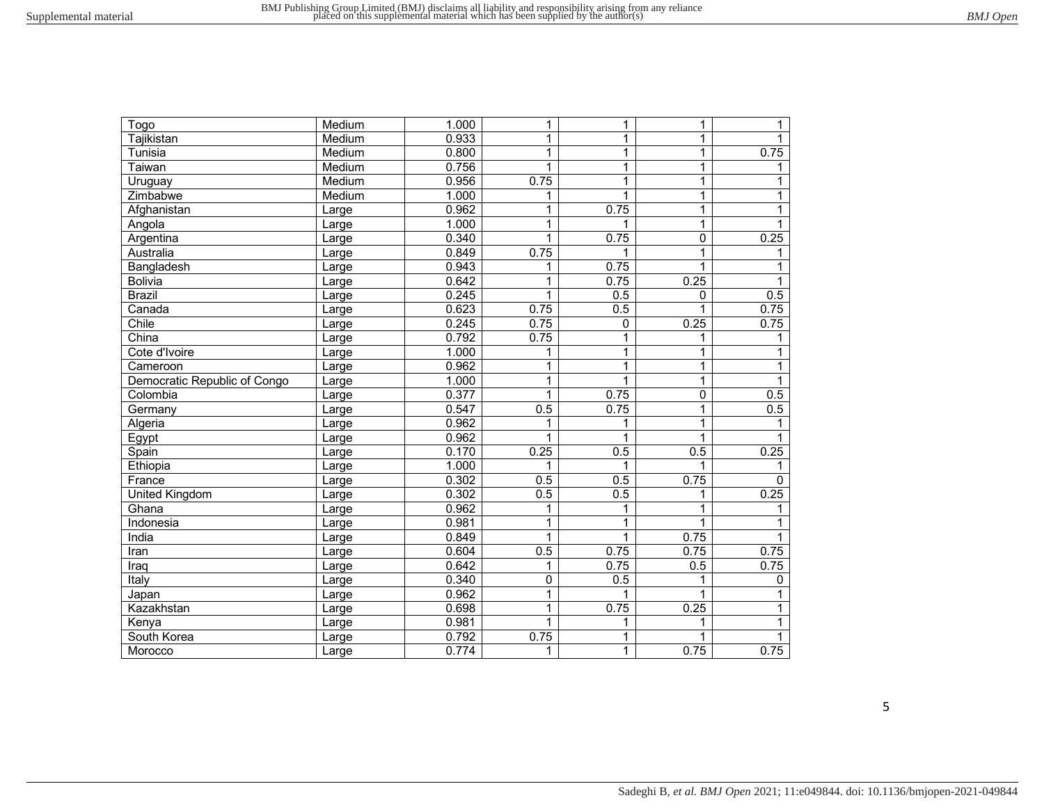| Togo                         | Medium | 1.000 | 1           | $\mathbf{1}$ | 1        | 1            |
|------------------------------|--------|-------|-------------|--------------|----------|--------------|
| Tajikistan                   | Medium | 0.933 | 1           | 1            | 1        | 1            |
| Tunisia                      | Medium | 0.800 | 1           | 1            | 1        | 0.75         |
| Taiwan                       | Medium | 0.756 | 1           | 1            | 1        | 1            |
| Uruguay                      | Medium | 0.956 | 0.75        | 1            | 1        | 1            |
| Zimbabwe                     | Medium | 1.000 | 1           | $\mathbf{1}$ | 1        | 1            |
| Afghanistan                  | Large  | 0.962 | 1           | 0.75         | 1        |              |
| Angola                       | Large  | 1.000 | 1           | 1            | 1        |              |
| Argentina                    | Large  | 0.340 | 1           | 0.75         | 0        | 0.25         |
| Australia                    | Large  | 0.849 | 0.75        | 1            | 1        |              |
| Bangladesh                   | Large  | 0.943 | 1           | 0.75         |          |              |
| <b>Bolivia</b>               | Large  | 0.642 | 1           | 0.75         | 0.25     | 1            |
| <b>Brazil</b>                | Large  | 0.245 | 1           | 0.5          | $\Omega$ | 0.5          |
| Canada                       | Large  | 0.623 | 0.75        | 0.5          |          | 0.75         |
| Chile                        | Large  | 0.245 | 0.75        | 0            | 0.25     | 0.75         |
| China                        | Large  | 0.792 | 0.75        | 1            | 1        | 1            |
| Cote d'Ivoire                | Large  | 1.000 | 1           | $\mathbf{1}$ | 1        |              |
| Cameroon                     | Large  | 0.962 | 1           | $\mathbf{1}$ | 1        | 1            |
| Democratic Republic of Congo | Large  | 1.000 | 1           | 1            | 1        | 1            |
| Colombia                     | Large  | 0.377 | 1           | 0.75         | 0        | 0.5          |
| Germany                      | Large  | 0.547 | 0.5         | 0.75         | 1        | 0.5          |
| Algeria                      | Large  | 0.962 | 1           | 1            | 1        |              |
| Egypt                        | Large  | 0.962 | 1           | 1            | 1        |              |
| Spain                        | Large  | 0.170 | 0.25        | 0.5          | 0.5      | 0.25         |
| Ethiopia                     | Large  | 1.000 | 1           | 1            |          |              |
| France                       | Large  | 0.302 | 0.5         | 0.5          | 0.75     | $\mathbf{0}$ |
| United Kingdom               | Large  | 0.302 | 0.5         | 0.5          | 1        | 0.25         |
| Ghana                        | Large  | 0.962 | 1           | 1            | 1        | 1            |
| Indonesia                    | Large  | 0.981 | 1           | 1            | 1        |              |
| India                        | Large  | 0.849 | 1           | 1            | 0.75     |              |
| Iran                         | Large  | 0.604 | 0.5         | 0.75         | 0.75     | 0.75         |
| Iraq                         | Large  | 0.642 | 1           | 0.75         | 0.5      | 0.75         |
| Italy                        | Large  | 0.340 | $\mathbf 0$ | 0.5          |          | 0            |
| Japan                        | Large  | 0.962 | 1           | 1            | 1        |              |
| Kazakhstan                   | Large  | 0.698 | 1           | 0.75         | 0.25     | 1            |
| Kenya                        | Large  | 0.981 | 1           | 1            | 1        | 1            |
| South Korea                  | Large  | 0.792 | 0.75        | 1            |          | 1            |
| Morocco                      | Large  | 0.774 | 1           | 1            | 0.75     | 0.75         |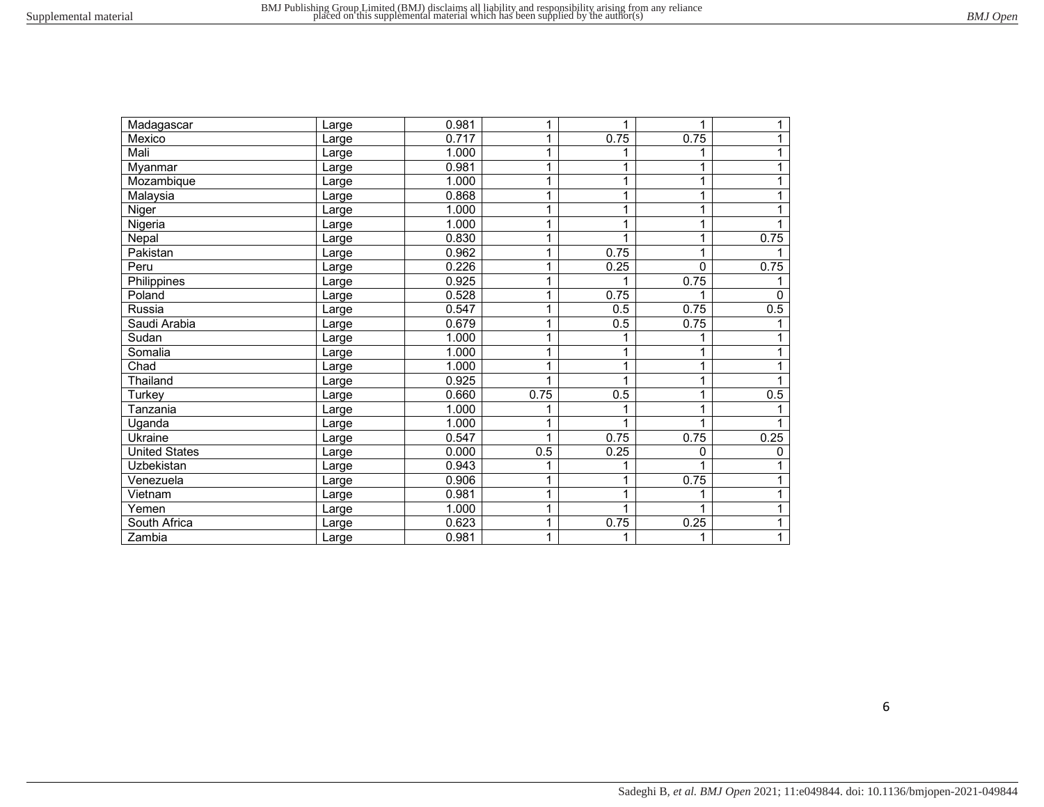| Madagascar           | Large | 0.981 |              | 1    | 1    | 1            |
|----------------------|-------|-------|--------------|------|------|--------------|
| Mexico               | Large | 0.717 |              | 0.75 | 0.75 | 1            |
| Mali                 | Large | 1.000 | 1            | 1    |      | 1            |
| Myanmar              | Large | 0.981 |              | 1    |      | 1            |
| Mozambique           | Large | 1.000 | 1            | 1    | 1    | 1            |
| Malaysia             | Large | 0.868 |              | 1    |      |              |
| Niger                | Large | 1.000 | 1            | 1    | 1    |              |
| Nigeria              | Large | 1.000 |              | 1    |      |              |
| Nepal                | Large | 0.830 | $\mathbf{1}$ | 1    | 1    | 0.75         |
| Pakistan             | Large | 0.962 | 1            | 0.75 | 1    |              |
| Peru                 | Large | 0.226 | 1            | 0.25 | 0    | 0.75         |
| Philippines          | Large | 0.925 | 1            |      | 0.75 |              |
| Poland               | Large | 0.528 | $\mathbf{1}$ | 0.75 |      | 0            |
| Russia               | Large | 0.547 | 1            | 0.5  | 0.75 | 0.5          |
| Saudi Arabia         | Large | 0.679 |              | 0.5  | 0.75 |              |
| Sudan                | Large | 1.000 | 1            | 1    |      |              |
| Somalia              | Large | 1.000 |              | 1    |      |              |
| Chad                 | Large | 1.000 |              | 1    | 1    |              |
| Thailand             | Large | 0.925 |              |      |      |              |
| Turkey               | Large | 0.660 | 0.75         | 0.5  | 1    | 0.5          |
| Tanzania             | Large | 1.000 |              |      |      |              |
| Uganda               | Large | 1.000 |              | 1    | 1    |              |
| Ukraine              | Large | 0.547 |              | 0.75 | 0.75 | 0.25         |
| <b>United States</b> | Large | 0.000 | 0.5          | 0.25 | 0    | $\mathbf{0}$ |
| Uzbekistan           | Large | 0.943 |              | 1    |      |              |
| Venezuela            | Large | 0.906 | 1            | 1    | 0.75 | 1            |
| Vietnam              | Large | 0.981 | 1            | 1    |      |              |
| Yemen                | Large | 1.000 | 1            | 1    | 1    | 1            |
| South Africa         | Large | 0.623 | 1            | 0.75 | 0.25 | 1            |
| Zambia               | Large | 0.981 |              | 1    | 1    | 1            |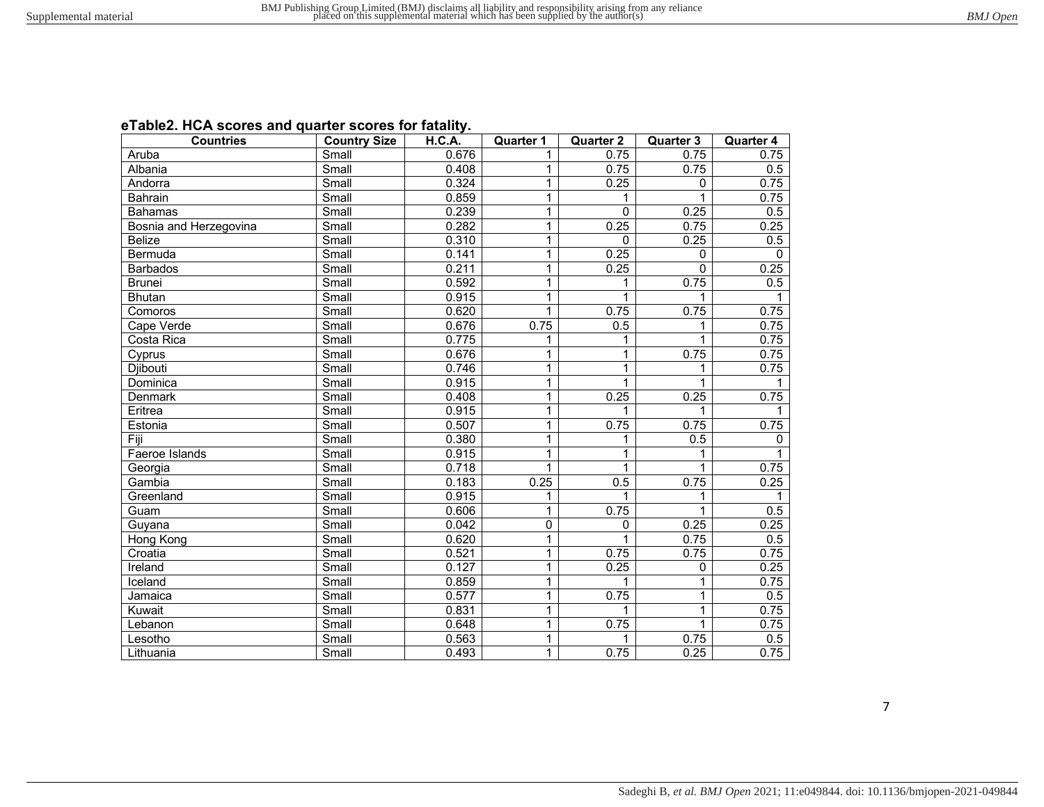| eTable2. HCA scores and quarter scores for fatality. |  |
|------------------------------------------------------|--|
|------------------------------------------------------|--|

| <b>Countries</b>       | <b>Country Size</b>         | H.C.A. | <b>Quarter 1</b> | <b>Quarter 2</b> | <b>Quarter 3</b> | <b>Quarter 4</b> |
|------------------------|-----------------------------|--------|------------------|------------------|------------------|------------------|
| Aruba                  | Small                       | 0.676  | 1                | 0.75             | 0.75             | 0.75             |
| Albania                | Small                       | 0.408  | 1                | 0.75             | 0.75             | 0.5              |
| Andorra                | Small                       | 0.324  | 1                | 0.25             | 0                | 0.75             |
| Bahrain                | $\overline{\text{Small}}$   | 0.859  | 1                | 1                |                  | 0.75             |
| <b>Bahamas</b>         | $\overline{\mathsf{Small}}$ | 0.239  | $\mathbf{1}$     | $\overline{0}$   | 0.25             | 0.5              |
| Bosnia and Herzegovina | Small                       | 0.282  | 1                | 0.25             | 0.75             | 0.25             |
| <b>Belize</b>          | Small                       | 0.310  | 1                | $\Omega$         | 0.25             | 0.5              |
| Bermuda                | Small                       | 0.141  | $\mathbf{1}$     | 0.25             | $\Omega$         | $\mathbf{0}$     |
| <b>Barbados</b>        | Small                       | 0.211  | 1                | 0.25             | $\overline{0}$   | 0.25             |
| <b>Brunei</b>          | Small                       | 0.592  | 1                | 1                | 0.75             | 0.5              |
| <b>Bhutan</b>          | Small                       | 0.915  | 1                | 1                | 1                |                  |
| Comoros                | Small                       | 0.620  | $\mathbf{1}$     | 0.75             | 0.75             | 0.75             |
| Cape Verde             | Small                       | 0.676  | 0.75             | 0.5              | 1                | 0.75             |
| Costa Rica             | Small                       | 0.775  | 1                | 1                | 1                | 0.75             |
| Cyprus                 | Small                       | 0.676  | 1                | $\overline{1}$   | 0.75             | 0.75             |
| <b>Djibouti</b>        | Small                       | 0.746  | 1                | 1                | 1                | 0.75             |
| Dominica               | Small                       | 0.915  | 1                | 1                | $\mathbf{1}$     | 1                |
| Denmark                | Small                       | 0.408  | 1                | 0.25             | 0.25             | 0.75             |
| Eritrea                | Small                       | 0.915  | 1                | 1                | $\mathbf{1}$     |                  |
| Estonia                | Small                       | 0.507  | 1                | 0.75             | 0.75             | 0.75             |
| Fiji                   | Small                       | 0.380  | 1                | 1                | 0.5              | $\Omega$         |
| Faeroe Islands         | Small                       | 0.915  | $\mathbf{1}$     | 1                | 1                |                  |
| Georgia                | Small                       | 0.718  | $\mathbf{1}$     | 1                | 1                | 0.75             |
| Gambia                 | Small                       | 0.183  | 0.25             | 0.5              | 0.75             | 0.25             |
| Greenland              | Small                       | 0.915  | 1                | 1                | 1                |                  |
| Guam                   | Small                       | 0.606  | $\mathbf{1}$     | 0.75             | $\mathbf{1}$     | 0.5              |
| Guyana                 | Small                       | 0.042  | 0                | $\Omega$         | 0.25             | 0.25             |
| Hong Kong              | Small                       | 0.620  | $\mathbf{1}$     | 1                | 0.75             | 0.5              |
| Croatia                | Small                       | 0.521  | 1                | 0.75             | 0.75             | 0.75             |
| Ireland                | Small                       | 0.127  | 1                | 0.25             | 0                | 0.25             |
| <b>I</b> celand        | $\overline{\mathsf{Small}}$ | 0.859  | 1                | 1                | 1                | 0.75             |
| Jamaica                | Small                       | 0.577  | 1                | 0.75             | 1                | $\overline{0.5}$ |
| Kuwait                 | Small                       | 0.831  | 1                | 1                | 1                | 0.75             |
| Lebanon                | Small                       | 0.648  | $\mathbf{1}$     | 0.75             | $\mathbf{1}$     | 0.75             |
| Lesotho                | Small                       | 0.563  | $\overline{1}$   | 1                | 0.75             | $\overline{0.5}$ |
| Lithuania              | Small                       | 0.493  | $\mathbf{1}$     | 0.75             | 0.25             | 0.75             |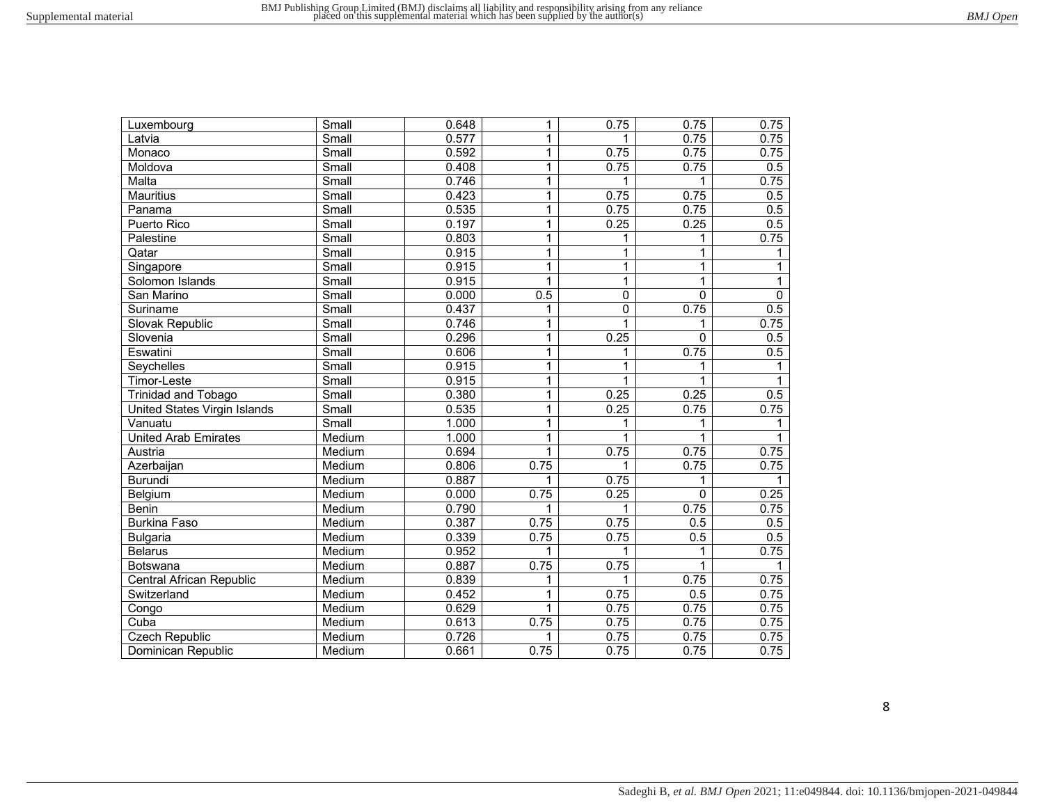| Luxembourg                   | Small                       | 0.648 | $\mathbf{1}$   | 0.75           | 0.75        | 0.75             |
|------------------------------|-----------------------------|-------|----------------|----------------|-------------|------------------|
| Latvia                       | $\overline{\mathsf{Small}}$ | 0.577 | $\mathbf{1}$   |                | 0.75        | 0.75             |
| Monaco                       | Small                       | 0.592 | $\mathbf{1}$   | 0.75           | 0.75        | 0.75             |
| Moldova                      | Small                       | 0.408 | $\mathbf{1}$   | 0.75           | 0.75        | 0.5              |
| Malta                        | Small                       | 0.746 | 1              | 1              | 1           | 0.75             |
| <b>Mauritius</b>             | Small                       | 0.423 | $\mathbf{1}$   | 0.75           | 0.75        | 0.5              |
| Panama                       | Small                       | 0.535 | $\mathbf{1}$   | 0.75           | 0.75        | 0.5              |
| Puerto Rico                  | Small                       | 0.197 | $\mathbf{1}$   | 0.25           | 0.25        | 0.5              |
| Palestine                    | Small                       | 0.803 | 1              | 1              | 1           | 0.75             |
| Qatar                        | Small                       | 0.915 | $\mathbf{1}$   | 1              | 1           | 1                |
| Singapore                    | Small                       | 0.915 | $\mathbf{1}$   | $\overline{1}$ | 1           | 1                |
| Solomon Islands              | Small                       | 0.915 | $\overline{1}$ | $\overline{1}$ | $\mathbf 1$ | $\mathbf{1}$     |
| San Marino                   | Small                       | 0.000 | 0.5            | $\overline{0}$ | 0           | $\overline{0}$   |
| Suriname                     | Small                       | 0.437 | 1              | $\overline{0}$ | 0.75        | $\overline{0.5}$ |
| Slovak Republic              | Small                       | 0.746 | 1              | $\overline{1}$ | 1           | 0.75             |
| Slovenia                     | Small                       | 0.296 | $\mathbf{1}$   | 0.25           | 0           | 0.5              |
| Eswatini                     | Small                       | 0.606 | $\mathbf{1}$   | 1              | 0.75        | 0.5              |
| Seychelles                   | Small                       | 0.915 | $\mathbf{1}$   | 1              | 1           | 1                |
| Timor-Leste                  | Small                       | 0.915 | $\mathbf{1}$   | 1              | 1           | 1                |
| Trinidad and Tobago          | Small                       | 0.380 | $\mathbf{1}$   | 0.25           | 0.25        | 0.5              |
| United States Virgin Islands | Small                       | 0.535 | $\mathbf{1}$   | 0.25           | 0.75        | 0.75             |
| Vanuatu                      | Small                       | 1.000 | 1              | 1              | 1           | 1                |
| <b>United Arab Emirates</b>  | Medium                      | 1.000 | $\mathbf{1}$   | 1              | 1           |                  |
| Austria                      | Medium                      | 0.694 | 1              | 0.75           | 0.75        | 0.75             |
| Azerbaijan                   | Medium                      | 0.806 | 0.75           | 1              | 0.75        | 0.75             |
| <b>Burundi</b>               | Medium                      | 0.887 | 1              | 0.75           |             |                  |
| Belgium                      | Medium                      | 0.000 | 0.75           | 0.25           | $\mathbf 0$ | 0.25             |
| <b>Benin</b>                 | Medium                      | 0.790 | 1              | 1              | 0.75        | 0.75             |
| <b>Burkina Faso</b>          | Medium                      | 0.387 | 0.75           | 0.75           | 0.5         | $\overline{0.5}$ |
| <b>Bulgaria</b>              | Medium                      | 0.339 | 0.75           | 0.75           | 0.5         | 0.5              |
| <b>Belarus</b>               | Medium                      | 0.952 | 1              | 1              | 1           | 0.75             |
| Botswana                     | Medium                      | 0.887 | 0.75           | 0.75           | 1           |                  |
| Central African Republic     | Medium                      | 0.839 | 1              | 1              | 0.75        | 0.75             |
| Switzerland                  | Medium                      | 0.452 | $\mathbf 1$    | 0.75           | 0.5         | 0.75             |
| Congo                        | Medium                      | 0.629 | $\mathbf{1}$   | 0.75           | 0.75        | 0.75             |
| Cuba                         | Medium                      | 0.613 | 0.75           | 0.75           | 0.75        | 0.75             |
| <b>Czech Republic</b>        | Medium                      | 0.726 | 1              | 0.75           | 0.75        | 0.75             |
| Dominican Republic           | Medium                      | 0.661 | 0.75           | 0.75           | 0.75        | 0.75             |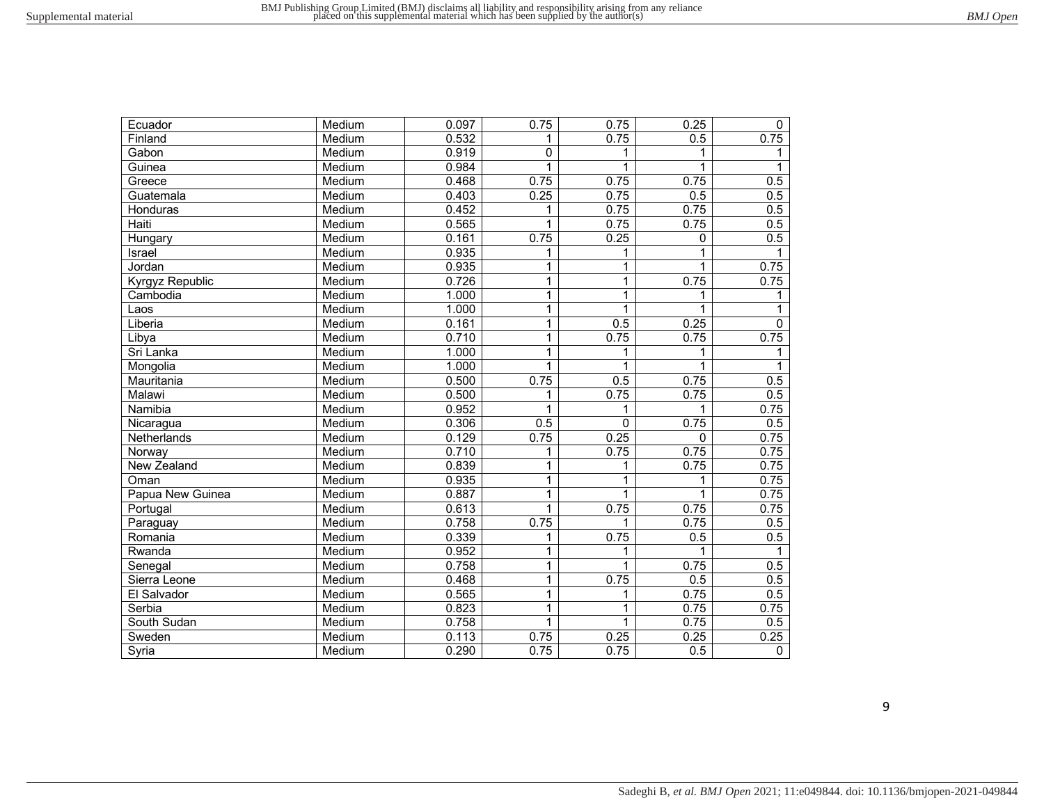| Ecuador            | Medium | 0.097 | 0.75           | 0.75           | 0.25 | 0                |
|--------------------|--------|-------|----------------|----------------|------|------------------|
| Finland            | Medium | 0.532 | 1              | 0.75           | 0.5  | 0.75             |
| Gabon              | Medium | 0.919 | 0              | 1              | 1    |                  |
| Guinea             | Medium | 0.984 | 1              | $\mathbf{1}$   | 1    | 1                |
| Greece             | Medium | 0.468 | 0.75           | 0.75           | 0.75 | 0.5              |
| Guatemala          | Medium | 0.403 | 0.25           | 0.75           | 0.5  | $\overline{0.5}$ |
| Honduras           | Medium | 0.452 | 1              | 0.75           | 0.75 | 0.5              |
| Haiti              | Medium | 0.565 | 1              | 0.75           | 0.75 | 0.5              |
| Hungary            | Medium | 0.161 | 0.75           | 0.25           | 0    | 0.5              |
| Israel             | Medium | 0.935 | 1              | $\mathbf{1}$   | 1    | 1                |
| Jordan             | Medium | 0.935 | 1              | $\overline{1}$ | 1    | 0.75             |
| Kyrgyz Republic    | Medium | 0.726 | 1              | $\overline{1}$ | 0.75 | 0.75             |
| Cambodia           | Medium | 1.000 | 1              | $\overline{1}$ | 1    | $\mathbf 1$      |
| Laos               | Medium | 1.000 | $\overline{1}$ | $\overline{1}$ | 1    | 1                |
| Liberia            | Medium | 0.161 | $\overline{1}$ | 0.5            | 0.25 | 0                |
| Libya              | Medium | 0.710 | 1              | 0.75           | 0.75 | 0.75             |
| Sri Lanka          | Medium | 1.000 | $\mathbf{1}$   | 1              | 1    | 1                |
| Mongolia           | Medium | 1.000 | $\mathbf{1}$   | 1              | 1    | 1                |
| Mauritania         | Medium | 0.500 | 0.75           | 0.5            | 0.75 | 0.5              |
| Malawi             | Medium | 0.500 | 1              | 0.75           | 0.75 | 0.5              |
| Namibia            | Medium | 0.952 | 1              | 1              | 1    | 0.75             |
| Nicaragua          | Medium | 0.306 | 0.5            | $\mathbf 0$    | 0.75 | 0.5              |
| Netherlands        | Medium | 0.129 | 0.75           | 0.25           | 0    | 0.75             |
| Norway             | Medium | 0.710 | 1              | 0.75           | 0.75 | 0.75             |
| <b>New Zealand</b> | Medium | 0.839 | 1              | $\mathbf{1}$   | 0.75 | 0.75             |
| Oman               | Medium | 0.935 | 1              | $\mathbf{1}$   |      | 0.75             |
| Papua New Guinea   | Medium | 0.887 | 1              | $\mathbf{1}$   | 1    | 0.75             |
| Portugal           | Medium | 0.613 | 1              | 0.75           | 0.75 | 0.75             |
| Paraguay           | Medium | 0.758 | 0.75           | 1              | 0.75 | 0.5              |
| Romania            | Medium | 0.339 | 1              | 0.75           | 0.5  | 0.5              |
| Rwanda             | Medium | 0.952 | 1              | 1              | 1    | 1                |
| Senegal            | Medium | 0.758 | $\mathbf{1}$   | $\mathbf{1}$   | 0.75 | 0.5              |
| Sierra Leone       | Medium | 0.468 | 1              | 0.75           | 0.5  | 0.5              |
| El Salvador        | Medium | 0.565 | $\mathbf{1}$   | 1              | 0.75 | 0.5              |
| Serbia             | Medium | 0.823 | 1              | $\overline{1}$ | 0.75 | 0.75             |
| South Sudan        | Medium | 0.758 | $\mathbf{1}$   | $\mathbf{1}$   | 0.75 | 0.5              |
| Sweden             | Medium | 0.113 | 0.75           | 0.25           | 0.25 | 0.25             |
| Syria              | Medium | 0.290 | 0.75           | 0.75           | 0.5  | $\mathbf 0$      |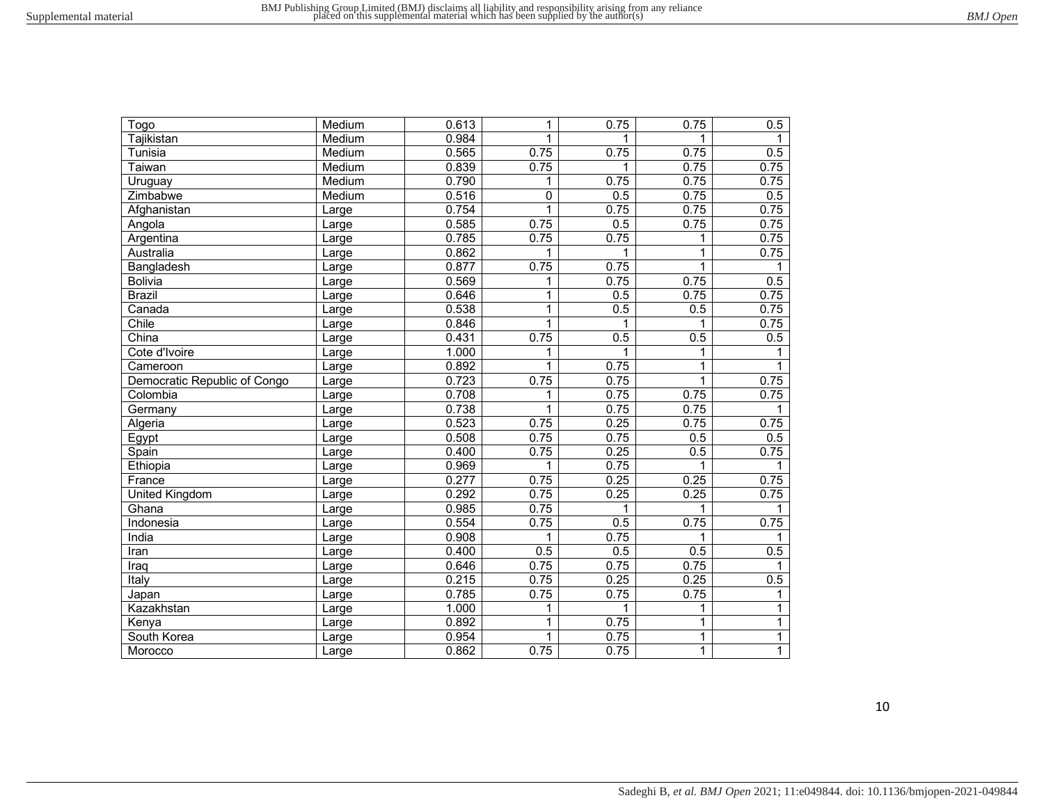| Togo                         | Medium | 0.613 | 1            | 0.75 | 0.75         | 0.5          |
|------------------------------|--------|-------|--------------|------|--------------|--------------|
| Tajikistan                   | Medium | 0.984 | $\mathbf{1}$ | 1    | 1            | 1            |
| Tunisia                      | Medium | 0.565 | 0.75         | 0.75 | 0.75         | 0.5          |
| Taiwan                       | Medium | 0.839 | 0.75         | 1    | 0.75         | 0.75         |
| Uruguay                      | Medium | 0.790 | 1            | 0.75 | 0.75         | 0.75         |
| Zimbabwe                     | Medium | 0.516 | 0            | 0.5  | 0.75         | 0.5          |
| Afghanistan                  | Large  | 0.754 | $\mathbf{1}$ | 0.75 | 0.75         | 0.75         |
| Angola                       | Large  | 0.585 | 0.75         | 0.5  | 0.75         | 0.75         |
| Argentina                    | Large  | 0.785 | 0.75         | 0.75 | 1            | 0.75         |
| Australia                    | Large  | 0.862 |              | 1    | $\mathbf 1$  | 0.75         |
| Bangladesh                   | Large  | 0.877 | 0.75         | 0.75 | $\mathbf{1}$ | 1            |
| <b>Bolivia</b>               | Large  | 0.569 | 1            | 0.75 | 0.75         | 0.5          |
| <b>Brazil</b>                | Large  | 0.646 | 1            | 0.5  | 0.75         | 0.75         |
| Canada                       | Large  | 0.538 | 1            | 0.5  | 0.5          | 0.75         |
| Chile                        | Large  | 0.846 | $\mathbf{1}$ | 1    | 1            | 0.75         |
| China                        | Large  | 0.431 | 0.75         | 0.5  | 0.5          | 0.5          |
| Cote d'Ivoire                | Large  | 1.000 | 1            | 1    | 1            | 1            |
| Cameroon                     | Large  | 0.892 | 1            | 0.75 | $\mathbf{1}$ |              |
| Democratic Republic of Congo | Large  | 0.723 | 0.75         | 0.75 | $\mathbf{1}$ | 0.75         |
| Colombia                     | Large  | 0.708 | 1            | 0.75 | 0.75         | 0.75         |
| Germany                      | Large  | 0.738 | 1            | 0.75 | 0.75         |              |
| Algeria                      | Large  | 0.523 | 0.75         | 0.25 | 0.75         | 0.75         |
| Egypt                        | Large  | 0.508 | 0.75         | 0.75 | 0.5          | 0.5          |
| Spain                        | Large  | 0.400 | 0.75         | 0.25 | 0.5          | 0.75         |
| Ethiopia                     | Large  | 0.969 | 1            | 0.75 | 1            |              |
| France                       | Large  | 0.277 | 0.75         | 0.25 | 0.25         | 0.75         |
| <b>United Kingdom</b>        | Large  | 0.292 | 0.75         | 0.25 | 0.25         | 0.75         |
| Ghana                        | Large  | 0.985 | 0.75         | 1    | 1            | 1            |
| Indonesia                    | Large  | 0.554 | 0.75         | 0.5  | 0.75         | 0.75         |
| India                        | Large  | 0.908 | 1            | 0.75 | 1            | 1            |
| Iran                         | Large  | 0.400 | 0.5          | 0.5  | 0.5          | 0.5          |
| Iraq                         | Large  | 0.646 | 0.75         | 0.75 | 0.75         | 1            |
| Italy                        | Large  | 0.215 | 0.75         | 0.25 | 0.25         | 0.5          |
| Japan                        | Large  | 0.785 | 0.75         | 0.75 | 0.75         | 1            |
| Kazakhstan                   | Large  | 1.000 | 1            | 1    | $\mathbf{1}$ | $\mathbf{1}$ |
| Kenya                        | Large  | 0.892 | 1            | 0.75 | $\mathbf 1$  | $\mathbf{1}$ |
| South Korea                  | Large  | 0.954 | $\mathbf{1}$ | 0.75 | $\mathbf{1}$ | $\mathbf{1}$ |
| Morocco                      | Large  | 0.862 | 0.75         | 0.75 | $\mathbf{1}$ | $\mathbf{1}$ |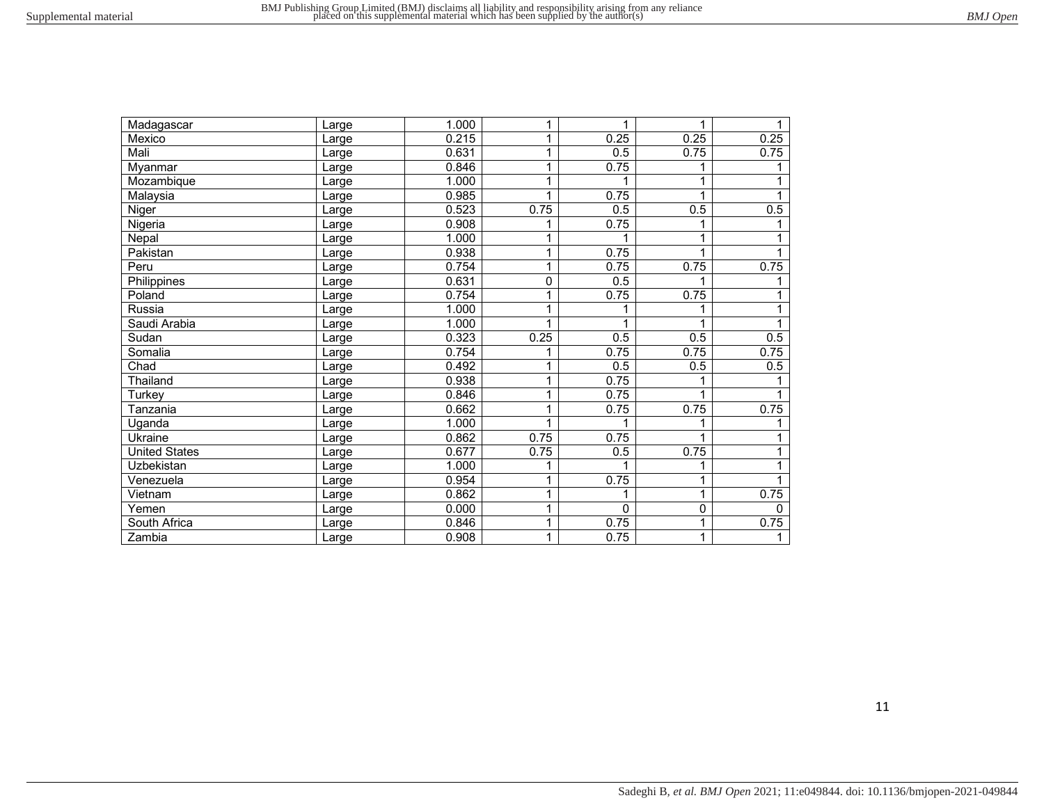| Madagascar           | Large | 1.000 | 1           | 1        |      |          |
|----------------------|-------|-------|-------------|----------|------|----------|
| Mexico               | Large | 0.215 | 1           | 0.25     | 0.25 | 0.25     |
| Mali                 | Large | 0.631 | 1           | 0.5      | 0.75 | 0.75     |
| Myanmar              | Large | 0.846 | 1           | 0.75     |      |          |
| Mozambique           | Large | 1.000 | 1           |          |      |          |
| Malaysia             | Large | 0.985 | 1           | 0.75     |      |          |
| Niger                | Large | 0.523 | 0.75        | 0.5      | 0.5  | 0.5      |
| Nigeria              | Large | 0.908 |             | 0.75     |      |          |
| Nepal                | Large | 1.000 | 1           |          |      |          |
| Pakistan             | Large | 0.938 | 1           | 0.75     |      |          |
| Peru                 | Large | 0.754 | 1           | 0.75     | 0.75 | 0.75     |
| Philippines          | Large | 0.631 | $\mathbf 0$ | 0.5      |      |          |
| Poland               | Large | 0.754 | 1           | 0.75     | 0.75 |          |
| Russia               | Large | 1.000 | 1           |          |      |          |
| Saudi Arabia         | Large | 1.000 |             |          |      |          |
| Sudan                | Large | 0.323 | 0.25        | 0.5      | 0.5  | 0.5      |
| Somalia              | Large | 0.754 |             | 0.75     | 0.75 | 0.75     |
| Chad                 | Large | 0.492 | 1           | 0.5      | 0.5  | 0.5      |
| Thailand             | Large | 0.938 | 1           | 0.75     |      |          |
| Turkey               | Large | 0.846 | 1           | 0.75     |      |          |
| Tanzania             | Large | 0.662 | 1           | 0.75     | 0.75 | 0.75     |
| Uganda               | Large | 1.000 | 1           |          |      |          |
| Ukraine              | Large | 0.862 | 0.75        | 0.75     |      |          |
| <b>United States</b> | Large | 0.677 | 0.75        | 0.5      | 0.75 |          |
| Uzbekistan           | Large | 1.000 |             |          |      |          |
| Venezuela            | Large | 0.954 | 1           | 0.75     |      |          |
| Vietnam              | Large | 0.862 | 1           |          |      | 0.75     |
| Yemen                | Large | 0.000 | 1           | $\Omega$ | 0    | $\Omega$ |
| South Africa         | Large | 0.846 | 1           | 0.75     |      | 0.75     |
| Zambia               | Large | 0.908 | 1           | 0.75     |      |          |